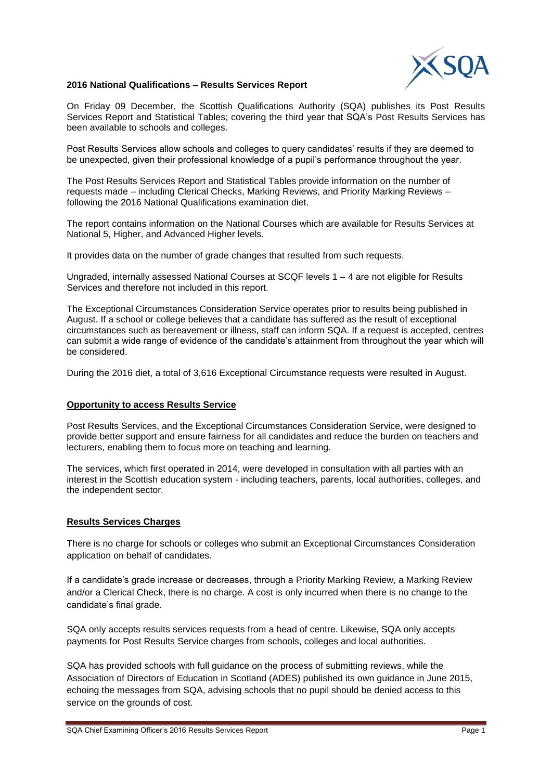

## **2016 National Qualifications – Results Services Report**

On Friday 09 December, the Scottish Qualifications Authority (SQA) publishes its Post Results Services Report and Statistical Tables; covering the third year that SQA's Post Results Services has been available to schools and colleges.

Post Results Services allow schools and colleges to query candidates' results if they are deemed to be unexpected, given their professional knowledge of a pupil's performance throughout the year.

The Post Results Services Report and Statistical Tables provide information on the number of requests made – including Clerical Checks, Marking Reviews, and Priority Marking Reviews – following the 2016 National Qualifications examination diet.

The report contains information on the National Courses which are available for Results Services at National 5, Higher, and Advanced Higher levels.

It provides data on the number of grade changes that resulted from such requests.

Ungraded, internally assessed National Courses at SCQF levels 1 – 4 are not eligible for Results Services and therefore not included in this report.

The Exceptional Circumstances Consideration Service operates prior to results being published in August. If a school or college believes that a candidate has suffered as the result of exceptional circumstances such as bereavement or illness, staff can inform SQA. If a request is accepted, centres can submit a wide range of evidence of the candidate's attainment from throughout the year which will be considered.

During the 2016 diet, a total of 3,616 Exceptional Circumstance requests were resulted in August.

# **Opportunity to access Results Service**

Post Results Services, and the Exceptional Circumstances Consideration Service, were designed to provide better support and ensure fairness for all candidates and reduce the burden on teachers and lecturers, enabling them to focus more on teaching and learning.

The services, which first operated in 2014, were developed in consultation with all parties with an interest in the Scottish education system - including teachers, parents, local authorities, colleges, and the independent sector.

#### **Results Services Charges**

There is no charge for schools or colleges who submit an Exceptional Circumstances Consideration application on behalf of candidates.

If a candidate's grade increase or decreases, through a Priority Marking Review, a Marking Review and/or a Clerical Check, there is no charge. A cost is only incurred when there is no change to the candidate's final grade.

SQA only accepts results services requests from a head of centre. Likewise, SQA only accepts payments for Post Results Service charges from schools, colleges and local authorities.

SQA has provided schools with full guidance on the process of submitting reviews, while the Association of Directors of Education in Scotland (ADES) published its own guidance in June 2015, echoing the messages from SQA, advising schools that no pupil should be denied access to this service on the grounds of cost.